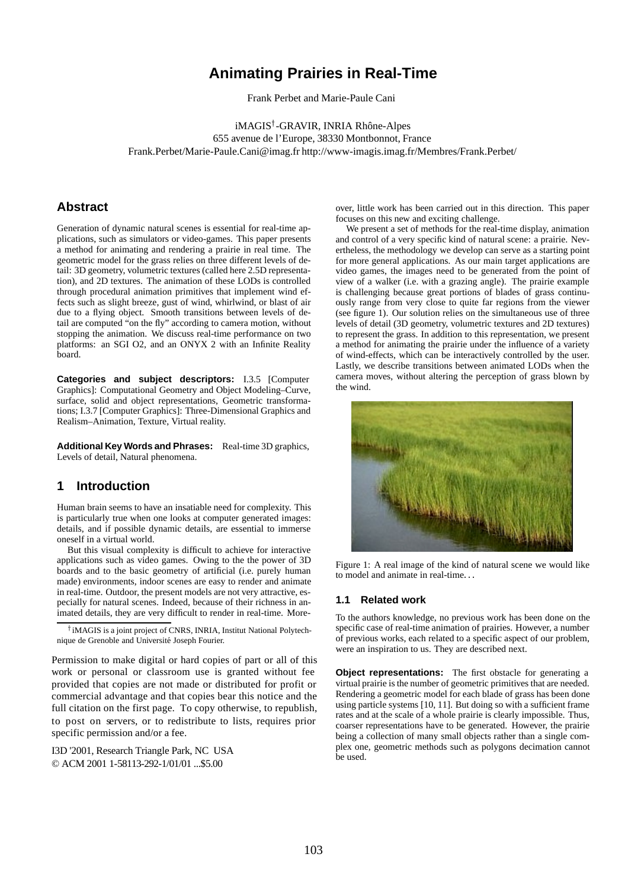# **Animating Prairies in Real-Time**

Frank Perbet and Marie-Paule Cani

iMAGIS†-GRAVIR, INRIA Rhône-Alpes 655 avenue de l'Europe, 38330 Montbonnot, France Frank.Perbet/Marie-Paule.Cani@imag.fr http://www-imagis.imag.fr/Membres/Frank.Perbet/

# **Abstract**

Generation of dynamic natural scenes is essential for real-time applications, such as simulators or video-games. This paper presents a method for animating and rendering a prairie in real time. The geometric model for the grass relies on three different levels of detail: 3D geometry, volumetric textures (called here 2.5D representation), and 2D textures. The animation of these LODs is controlled through procedural animation primitives that implement wind effects such as slight breeze, gust of wind, whirlwind, or blast of air due to a flying object. Smooth transitions between levels of detail are computed "on the fly" according to camera motion, without stopping the animation. We discuss real-time performance on two platforms: an SGI O2, and an ONYX 2 with an Infinite Reality board.

**Categories and subject descriptors:** I.3.5 [Computer Graphics]: Computational Geometry and Object Modeling–Curve, surface, solid and object representations, Geometric transformations; I.3.7 [Computer Graphics]: Three-Dimensional Graphics and Realism–Animation, Texture, Virtual reality.

**Additional Key Words and Phrases:** Real-time 3D graphics, Levels of detail, Natural phenomena.

### **1 Introduction**

Human brain seems to have an insatiable need for complexity. This is particularly true when one looks at computer generated images: details, and if possible dynamic details, are essential to immerse oneself in a virtual world.

But this visual complexity is difficult to achieve for interactive applications such as video games. Owing to the the power of 3D boards and to the basic geometry of artificial (i.e. purely human made) environments, indoor scenes are easy to render and animate in real-time. Outdoor, the present models are not very attractive, especially for natural scenes. Indeed, because of their richness in animated details, they are very difficult to render in real-time. More-

Permission to make digital or hard copies of part or all of this work or personal or classroom use is granted without fee provided that copies are not made or distributed for profit or commercial advantage and that copies bear this notice and the full citation on the first page. To copy otherwise, to republish, to post on servers, or to redistribute to lists, requires prior specific permission and/or a fee.

I3D '2001, Research Triangle Park, NC USA © ACM 2001 1-58113-292-1/01/01 ...\$5.00

over, little work has been carried out in this direction. This paper focuses on this new and exciting challenge.

We present a set of methods for the real-time display, animation and control of a very specific kind of natural scene: a prairie. Nevertheless, the methodology we develop can serve as a starting point for more general applications. As our main target applications are video games, the images need to be generated from the point of view of a walker (i.e. with a grazing angle). The prairie example is challenging because great portions of blades of grass continuously range from very close to quite far regions from the viewer (see figure 1). Our solution relies on the simultaneous use of three levels of detail (3D geometry, volumetric textures and 2D textures) to represent the grass. In addition to this representation, we present a method for animating the prairie under the influence of a variety of wind-effects, which can be interactively controlled by the user. Lastly, we describe transitions between animated LODs when the camera moves, without altering the perception of grass blown by the wind.



Figure 1: A real image of the kind of natural scene we would like to model and animate in real-time.

#### **1.1 Related work**

To the authors knowledge, no previous work has been done on the specific case of real-time animation of prairies. However, a number of previous works, each related to a specific aspect of our problem, were an inspiration to us. They are described next.

**Object representations:** The first obstacle for generating a virtual prairie is the number of geometric primitives that are needed. Rendering a geometric model for each blade of grass has been done using particle systems [10, 11]. But doing so with a sufficient frame rates and at the scale of a whole prairie is clearly impossible. Thus, coarser representations have to be generated. However, the prairie being a collection of many small objects rather than a single complex one, geometric methods such as polygons decimation cannot be used.

<sup>&</sup>lt;sup>†</sup> iMAGIS is a joint project of CNRS, INRIA, Institut National Polytechnique de Grenoble and Université Joseph Fourier.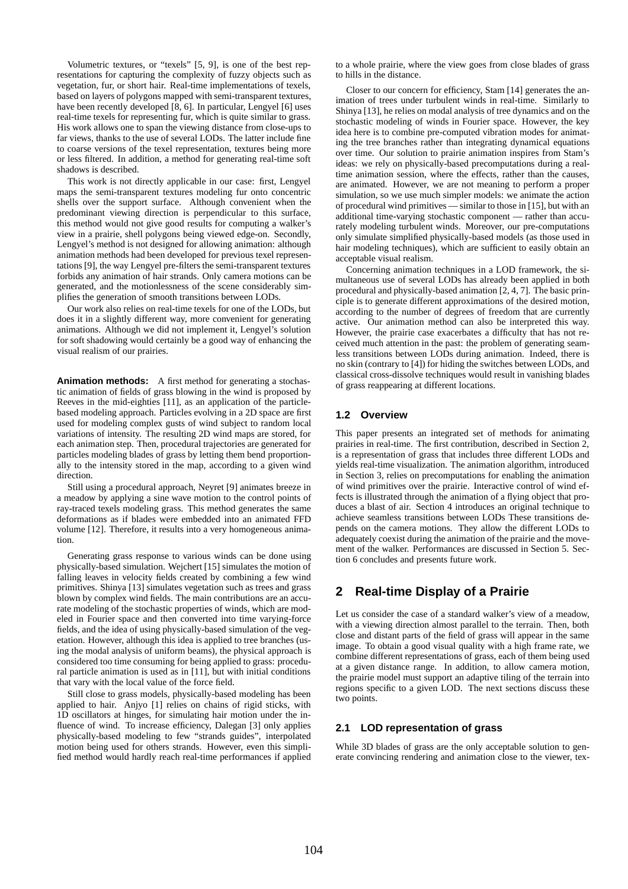Volumetric textures, or "texels" [5, 9], is one of the best representations for capturing the complexity of fuzzy objects such as vegetation, fur, or short hair. Real-time implementations of texels, based on layers of polygons mapped with semi-transparent textures, have been recently developed [8, 6]. In particular, Lengyel [6] uses real-time texels for representing fur, which is quite similar to grass. His work allows one to span the viewing distance from close-ups to far views, thanks to the use of several LODs. The latter include fine to coarse versions of the texel representation, textures being more or less filtered. In addition, a method for generating real-time soft shadows is described.

This work is not directly applicable in our case: first, Lengyel maps the semi-transparent textures modeling fur onto concentric shells over the support surface. Although convenient when the predominant viewing direction is perpendicular to this surface, this method would not give good results for computing a walker's view in a prairie, shell polygons being viewed edge-on. Secondly, Lengyel's method is not designed for allowing animation: although animation methods had been developed for previous texel representations [9], the way Lengyel pre-filters the semi-transparent textures forbids any animation of hair strands. Only camera motions can be generated, and the motionlessness of the scene considerably simplifies the generation of smooth transitions between LODs.

Our work also relies on real-time texels for one of the LODs, but does it in a slightly different way, more convenient for generating animations. Although we did not implement it, Lengyel's solution for soft shadowing would certainly be a good way of enhancing the visual realism of our prairies.

**Animation methods:** A first method for generating a stochastic animation of fields of grass blowing in the wind is proposed by Reeves in the mid-eighties [11], as an application of the particlebased modeling approach. Particles evolving in a 2D space are first used for modeling complex gusts of wind subject to random local variations of intensity. The resulting 2D wind maps are stored, for each animation step. Then, procedural trajectories are generated for particles modeling blades of grass by letting them bend proportionally to the intensity stored in the map, according to a given wind direction.

Still using a procedural approach, Neyret [9] animates breeze in a meadow by applying a sine wave motion to the control points of ray-traced texels modeling grass. This method generates the same deformations as if blades were embedded into an animated FFD volume [12]. Therefore, it results into a very homogeneous animation.

Generating grass response to various winds can be done using physically-based simulation. Wejchert [15] simulates the motion of falling leaves in velocity fields created by combining a few wind primitives. Shinya [13] simulates vegetation such as trees and grass blown by complex wind fields. The main contributions are an accurate modeling of the stochastic properties of winds, which are modeled in Fourier space and then converted into time varying-force fields, and the idea of using physically-based simulation of the vegetation. However, although this idea is applied to tree branches (using the modal analysis of uniform beams), the physical approach is considered too time consuming for being applied to grass: procedural particle animation is used as in [11], but with initial conditions that vary with the local value of the force field.

Still close to grass models, physically-based modeling has been applied to hair. Anjyo [1] relies on chains of rigid sticks, with 1D oscillators at hinges, for simulating hair motion under the influence of wind. To increase efficiency, Dalegan [3] only applies physically-based modeling to few "strands guides", interpolated motion being used for others strands. However, even this simplified method would hardly reach real-time performances if applied to a whole prairie, where the view goes from close blades of grass to hills in the distance.

Closer to our concern for efficiency, Stam [14] generates the animation of trees under turbulent winds in real-time. Similarly to Shinya [13], he relies on modal analysis of tree dynamics and on the stochastic modeling of winds in Fourier space. However, the key idea here is to combine pre-computed vibration modes for animating the tree branches rather than integrating dynamical equations over time. Our solution to prairie animation inspires from Stam's ideas: we rely on physically-based precomputations during a realtime animation session, where the effects, rather than the causes, are animated. However, we are not meaning to perform a proper simulation, so we use much simpler models: we animate the action of procedural wind primitives — similar to those in [15], but with an additional time-varying stochastic component — rather than accurately modeling turbulent winds. Moreover, our pre-computations only simulate simplified physically-based models (as those used in hair modeling techniques), which are sufficient to easily obtain an acceptable visual realism.

Concerning animation techniques in a LOD framework, the simultaneous use of several LODs has already been applied in both procedural and physically-based animation [2, 4, 7]. The basic principle is to generate different approximations of the desired motion, according to the number of degrees of freedom that are currently active. Our animation method can also be interpreted this way. However, the prairie case exacerbates a difficulty that has not received much attention in the past: the problem of generating seamless transitions between LODs during animation. Indeed, there is no skin (contrary to [4]) for hiding the switches between LODs, and classical cross-dissolve techniques would result in vanishing blades of grass reappearing at different locations.

#### **1.2 Overview**

This paper presents an integrated set of methods for animating prairies in real-time. The first contribution, described in Section 2, is a representation of grass that includes three different LODs and yields real-time visualization. The animation algorithm, introduced in Section 3, relies on precomputations for enabling the animation of wind primitives over the prairie. Interactive control of wind effects is illustrated through the animation of a flying object that produces a blast of air. Section 4 introduces an original technique to achieve seamless transitions between LODs These transitions depends on the camera motions. They allow the different LODs to adequately coexist during the animation of the prairie and the movement of the walker. Performances are discussed in Section 5. Section 6 concludes and presents future work.

# **2 Real-time Display of a Prairie**

Let us consider the case of a standard walker's view of a meadow, with a viewing direction almost parallel to the terrain. Then, both close and distant parts of the field of grass will appear in the same image. To obtain a good visual quality with a high frame rate, we combine different representations of grass, each of them being used at a given distance range. In addition, to allow camera motion, the prairie model must support an adaptive tiling of the terrain into regions specific to a given LOD. The next sections discuss these two points.

#### **2.1 LOD representation of grass**

While 3D blades of grass are the only acceptable solution to generate convincing rendering and animation close to the viewer, tex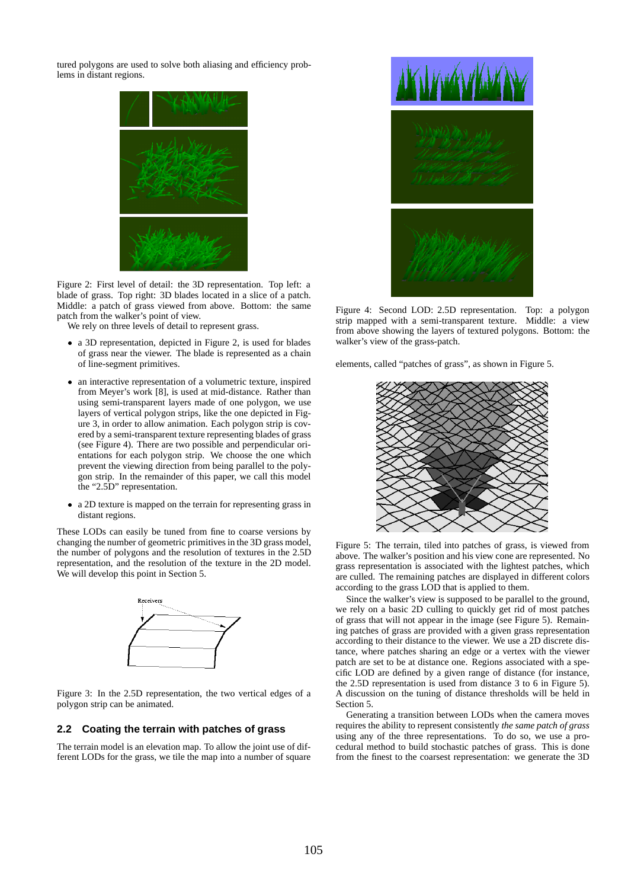tured polygons are used to solve both aliasing and efficiency problems in distant regions.



Figure 2: First level of detail: the 3D representation. Top left: a blade of grass. Top right: 3D blades located in a slice of a patch. Middle: a patch of grass viewed from above. Bottom: the same patch from the walker's point of view.

We rely on three levels of detail to represent grass.

- a 3D representation, depicted in Figure 2, is used for blades of grass near the viewer. The blade is represented as a chain of line-segment primitives.
- an interactive representation of a volumetric texture, inspired from Meyer's work [8], is used at mid-distance. Rather than using semi-transparent layers made of one polygon, we use layers of vertical polygon strips, like the one depicted in Figure 3, in order to allow animation. Each polygon strip is covered by a semi-transparent texture representing blades of grass (see Figure 4). There are two possible and perpendicular orientations for each polygon strip. We choose the one which prevent the viewing direction from being parallel to the polygon strip. In the remainder of this paper, we call this model the "2.5D" representation.
- a 2D texture is mapped on the terrain for representing grass in distant regions.

These LODs can easily be tuned from fine to coarse versions by changing the number of geometric primitives in the 3D grass model, the number of polygons and the resolution of textures in the 2.5D representation, and the resolution of the texture in the 2D model. We will develop this point in Section 5.



Figure 3: In the 2.5D representation, the two vertical edges of a polygon strip can be animated.

#### **2.2 Coating the terrain with patches of grass**

The terrain model is an elevation map. To allow the joint use of different LODs for the grass, we tile the map into a number of square



Figure 4: Second LOD: 2.5D representation. Top: a polygon strip mapped with a semi-transparent texture. Middle: a view from above showing the layers of textured polygons. Bottom: the walker's view of the grass-patch.

elements, called "patches of grass", as shown in Figure 5.



Figure 5: The terrain, tiled into patches of grass, is viewed from above. The walker's position and his view cone are represented. No grass representation is associated with the lightest patches, which are culled. The remaining patches are displayed in different colors according to the grass LOD that is applied to them.

Since the walker's view is supposed to be parallel to the ground, we rely on a basic 2D culling to quickly get rid of most patches of grass that will not appear in the image (see Figure 5). Remaining patches of grass are provided with a given grass representation according to their distance to the viewer. We use a 2D discrete distance, where patches sharing an edge or a vertex with the viewer patch are set to be at distance one. Regions associated with a specific LOD are defined by a given range of distance (for instance, the 2.5D representation is used from distance 3 to 6 in Figure 5). A discussion on the tuning of distance thresholds will be held in Section 5.

Generating a transition between LODs when the camera moves requires the ability to represent consistently *the same patch of grass* using any of the three representations. To do so, we use a procedural method to build stochastic patches of grass. This is done from the finest to the coarsest representation: we generate the 3D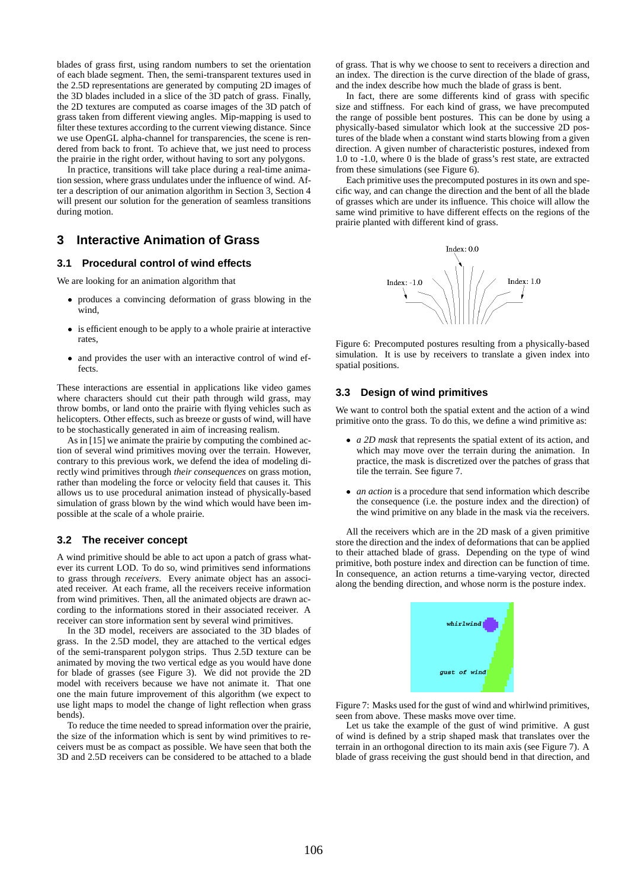blades of grass first, using random numbers to set the orientation of each blade segment. Then, the semi-transparent textures used in the 2.5D representations are generated by computing 2D images of the 3D blades included in a slice of the 3D patch of grass. Finally, the 2D textures are computed as coarse images of the 3D patch of grass taken from different viewing angles. Mip-mapping is used to filter these textures according to the current viewing distance. Since we use OpenGL alpha-channel for transparencies, the scene is rendered from back to front. To achieve that, we just need to process the prairie in the right order, without having to sort any polygons.

In practice, transitions will take place during a real-time animation session, where grass undulates under the influence of wind. After a description of our animation algorithm in Section 3, Section 4 will present our solution for the generation of seamless transitions during motion.

## **3 Interactive Animation of Grass**

#### **3.1 Procedural control of wind effects**

We are looking for an animation algorithm that

- produces a convincing deformation of grass blowing in the wind,
- is efficient enough to be apply to a whole prairie at interactive rates,
- and provides the user with an interactive control of wind effects.

These interactions are essential in applications like video games where characters should cut their path through wild grass, may throw bombs, or land onto the prairie with flying vehicles such as helicopters. Other effects, such as breeze or gusts of wind, will have to be stochastically generated in aim of increasing realism.

As in [15] we animate the prairie by computing the combined action of several wind primitives moving over the terrain. However, contrary to this previous work, we defend the idea of modeling directly wind primitives through *their consequences* on grass motion, rather than modeling the force or velocity field that causes it. This allows us to use procedural animation instead of physically-based simulation of grass blown by the wind which would have been impossible at the scale of a whole prairie.

#### **3.2 The receiver concept**

A wind primitive should be able to act upon a patch of grass whatever its current LOD. To do so, wind primitives send informations to grass through *receivers*. Every animate object has an associated receiver. At each frame, all the receivers receive information from wind primitives. Then, all the animated objects are drawn according to the informations stored in their associated receiver. A receiver can store information sent by several wind primitives.

In the 3D model, receivers are associated to the 3D blades of grass. In the 2.5D model, they are attached to the vertical edges of the semi-transparent polygon strips. Thus 2.5D texture can be animated by moving the two vertical edge as you would have done for blade of grasses (see Figure 3). We did not provide the 2D model with receivers because we have not animate it. That one one the main future improvement of this algorithm (we expect to use light maps to model the change of light reflection when grass bends).

To reduce the time needed to spread information over the prairie, the size of the information which is sent by wind primitives to receivers must be as compact as possible. We have seen that both the 3D and 2.5D receivers can be considered to be attached to a blade of grass. That is why we choose to sent to receivers a direction and an index. The direction is the curve direction of the blade of grass, and the index describe how much the blade of grass is bent.

In fact, there are some differents kind of grass with specific size and stiffness. For each kind of grass, we have precomputed the range of possible bent postures. This can be done by using a physically-based simulator which look at the successive 2D postures of the blade when a constant wind starts blowing from a given direction. A given number of characteristic postures, indexed from 1.0 to -1.0, where 0 is the blade of grass's rest state, are extracted from these simulations (see Figure 6).

Each primitive uses the precomputed postures in its own and specific way, and can change the direction and the bent of all the blade of grasses which are under its influence. This choice will allow the same wind primitive to have different effects on the regions of the prairie planted with different kind of grass.



Figure 6: Precomputed postures resulting from a physically-based simulation. It is use by receivers to translate a given index into spatial positions.

#### **3.3 Design of wind primitives**

We want to control both the spatial extent and the action of a wind primitive onto the grass. To do this, we define a wind primitive as:

- *a 2D mask* that represents the spatial extent of its action, and which may move over the terrain during the animation. In practice, the mask is discretized over the patches of grass that tile the terrain. See figure 7.
- *an action* is a procedure that send information which describe the consequence (i.e. the posture index and the direction) of the wind primitive on any blade in the mask via the receivers.

All the receivers which are in the 2D mask of a given primitive store the direction and the index of deformations that can be applied to their attached blade of grass. Depending on the type of wind primitive, both posture index and direction can be function of time. In consequence, an action returns a time-varying vector, directed along the bending direction, and whose norm is the posture index.



Figure 7: Masks used for the gust of wind and whirlwind primitives, seen from above. These masks move over time.

Let us take the example of the gust of wind primitive. A gust of wind is defined by a strip shaped mask that translates over the terrain in an orthogonal direction to its main axis (see Figure 7). A blade of grass receiving the gust should bend in that direction, and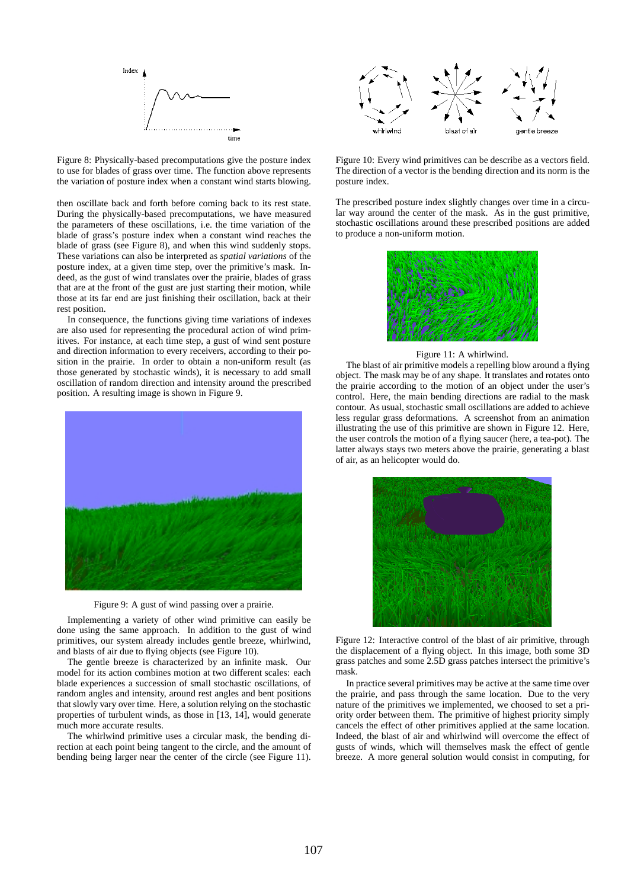

Figure 8: Physically-based precomputations give the posture index to use for blades of grass over time. The function above represents the variation of posture index when a constant wind starts blowing.

then oscillate back and forth before coming back to its rest state. During the physically-based precomputations, we have measured the parameters of these oscillations, i.e. the time variation of the blade of grass's posture index when a constant wind reaches the blade of grass (see Figure 8), and when this wind suddenly stops. These variations can also be interpreted as *spatial variations* of the posture index, at a given time step, over the primitive's mask. Indeed, as the gust of wind translates over the prairie, blades of grass that are at the front of the gust are just starting their motion, while those at its far end are just finishing their oscillation, back at their rest position.

In consequence, the functions giving time variations of indexes are also used for representing the procedural action of wind primitives. For instance, at each time step, a gust of wind sent posture and direction information to every receivers, according to their position in the prairie. In order to obtain a non-uniform result (as those generated by stochastic winds), it is necessary to add small oscillation of random direction and intensity around the prescribed position. A resulting image is shown in Figure 9.



Figure 9: A gust of wind passing over a prairie.

Implementing a variety of other wind primitive can easily be done using the same approach. In addition to the gust of wind primitives, our system already includes gentle breeze, whirlwind, and blasts of air due to flying objects (see Figure 10).

The gentle breeze is characterized by an infinite mask. Our model for its action combines motion at two different scales: each blade experiences a succession of small stochastic oscillations, of random angles and intensity, around rest angles and bent positions that slowly vary over time. Here, a solution relying on the stochastic properties of turbulent winds, as those in [13, 14], would generate much more accurate results.

The whirlwind primitive uses a circular mask, the bending direction at each point being tangent to the circle, and the amount of bending being larger near the center of the circle (see Figure 11). Figure 10: Every wind primitives can be describe as a vectors field. The direction of a vector is the bending direction and its norm is the posture index.

The prescribed posture index slightly changes over time in a circular way around the center of the mask. As in the gust primitive, stochastic oscillations around these prescribed positions are added to produce a non-uniform motion.



Figure 11: A whirlwind.

The blast of air primitive models a repelling blow around a flying object. The mask may be of any shape. It translates and rotates onto the prairie according to the motion of an object under the user's control. Here, the main bending directions are radial to the mask contour. As usual, stochastic small oscillations are added to achieve less regular grass deformations. A screenshot from an animation illustrating the use of this primitive are shown in Figure 12. Here, the user controls the motion of a flying saucer (here, a tea-pot). The latter always stays two meters above the prairie, generating a blast of air, as an helicopter would do.



Figure 12: Interactive control of the blast of air primitive, through the displacement of a flying object. In this image, both some 3D grass patches and some 2.5D grass patches intersect the primitive's mask.

In practice several primitives may be active at the same time over the prairie, and pass through the same location. Due to the very nature of the primitives we implemented, we choosed to set a priority order between them. The primitive of highest priority simply cancels the effect of other primitives applied at the same location. Indeed, the blast of air and whirlwind will overcome the effect of gusts of winds, which will themselves mask the effect of gentle breeze. A more general solution would consist in computing, for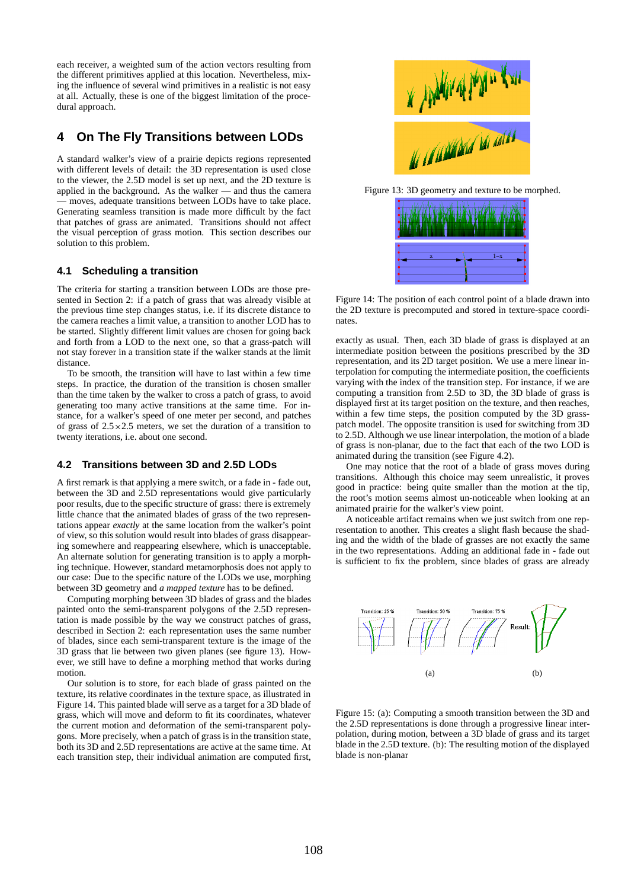each receiver, a weighted sum of the action vectors resulting from the different primitives applied at this location. Nevertheless, mixing the influence of several wind primitives in a realistic is not easy at all. Actually, these is one of the biggest limitation of the procedural approach.

# **4 On The Fly Transitions between LODs**

A standard walker's view of a prairie depicts regions represented with different levels of detail: the 3D representation is used close to the viewer, the 2.5D model is set up next, and the 2D texture is applied in the background. As the walker — and thus the camera — moves, adequate transitions between LODs have to take place. Generating seamless transition is made more difficult by the fact that patches of grass are animated. Transitions should not affect the visual perception of grass motion. This section describes our solution to this problem.

#### **4.1 Scheduling a transition**

The criteria for starting a transition between LODs are those presented in Section 2: if a patch of grass that was already visible at the previous time step changes status, i.e. if its discrete distance to the camera reaches a limit value, a transition to another LOD has to be started. Slightly different limit values are chosen for going back and forth from a LOD to the next one, so that a grass-patch will not stay forever in a transition state if the walker stands at the limit distance.

To be smooth, the transition will have to last within a few time steps. In practice, the duration of the transition is chosen smaller than the time taken by the walker to cross a patch of grass, to avoid generating too many active transitions at the same time. For instance, for a walker's speed of one meter per second, and patches of grass of  $2.5 \times 2.5$  meters, we set the duration of a transition to twenty iterations, i.e. about one second.

#### **4.2 Transitions between 3D and 2.5D LODs**

A first remark is that applying a mere switch, or a fade in - fade out, between the 3D and 2.5D representations would give particularly poor results, due to the specific structure of grass: there is extremely little chance that the animated blades of grass of the two representations appear *exactly* at the same location from the walker's point of view, so this solution would result into blades of grass disappearing somewhere and reappearing elsewhere, which is unacceptable. An alternate solution for generating transition is to apply a morphing technique. However, standard metamorphosis does not apply to our case: Due to the specific nature of the LODs we use, morphing between 3D geometry and *a mapped texture* has to be defined.

Computing morphing between 3D blades of grass and the blades painted onto the semi-transparent polygons of the 2.5D representation is made possible by the way we construct patches of grass, described in Section 2: each representation uses the same number of blades, since each semi-transparent texture is the image of the 3D grass that lie between two given planes (see figure 13). However, we still have to define a morphing method that works during motion.

Our solution is to store, for each blade of grass painted on the texture, its relative coordinates in the texture space, as illustrated in Figure 14. This painted blade will serve as a target for a 3D blade of grass, which will move and deform to fit its coordinates, whatever the current motion and deformation of the semi-transparent polygons. More precisely, when a patch of grass is in the transition state, both its 3D and 2.5D representations are active at the same time. At each transition step, their individual animation are computed first,



Figure 13: 3D geometry and texture to be morphed.

| $\mathbf{x}$ | $1-x$ |
|--------------|-------|

Figure 14: The position of each control point of a blade drawn into the 2D texture is precomputed and stored in texture-space coordinates.

exactly as usual. Then, each 3D blade of grass is displayed at an intermediate position between the positions prescribed by the 3D representation, and its 2D target position. We use a mere linear interpolation for computing the intermediate position, the coefficients varying with the index of the transition step. For instance, if we are computing a transition from 2.5D to 3D, the 3D blade of grass is displayed first at its target position on the texture, and then reaches, within a few time steps, the position computed by the 3D grasspatch model. The opposite transition is used for switching from 3D to 2.5D. Although we use linear interpolation, the motion of a blade of grass is non-planar, due to the fact that each of the two LOD is animated during the transition (see Figure 4.2).

One may notice that the root of a blade of grass moves during transitions. Although this choice may seem unrealistic, it proves good in practice: being quite smaller than the motion at the tip, the root's motion seems almost un-noticeable when looking at an animated prairie for the walker's view point.

A noticeable artifact remains when we just switch from one representation to another. This creates a slight flash because the shading and the width of the blade of grasses are not exactly the same in the two representations. Adding an additional fade in - fade out is sufficient to fix the problem, since blades of grass are already



Figure 15: (a): Computing a smooth transition between the 3D and the 2.5D representations is done through a progressive linear interpolation, during motion, between a 3D blade of grass and its target blade in the 2.5D texture. (b): The resulting motion of the displayed blade is non-planar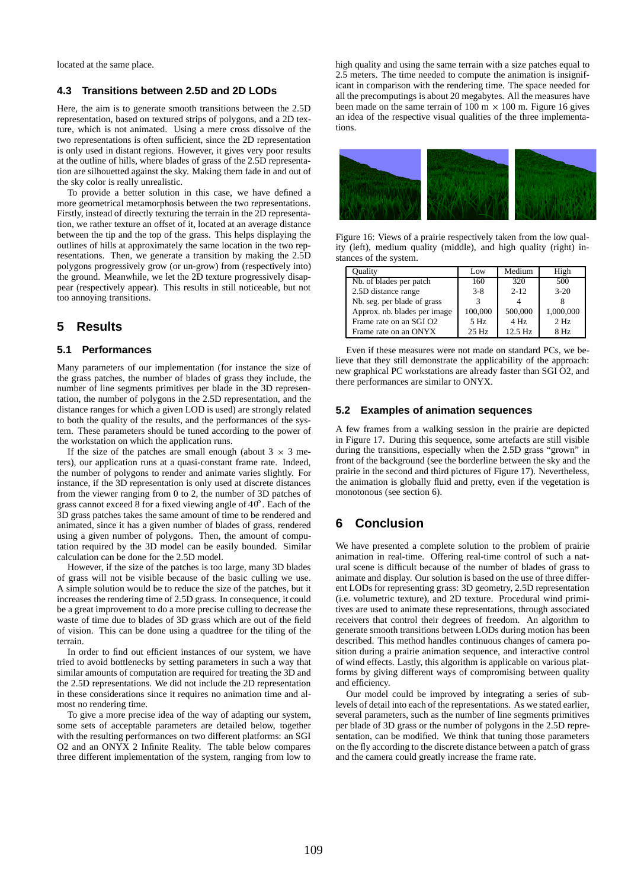located at the same place.

#### **4.3 Transitions between 2.5D and 2D LODs**

Here, the aim is to generate smooth transitions between the 2.5D representation, based on textured strips of polygons, and a 2D texture, which is not animated. Using a mere cross dissolve of the two representations is often sufficient, since the 2D representation is only used in distant regions. However, it gives very poor results at the outline of hills, where blades of grass of the 2.5D representation are silhouetted against the sky. Making them fade in and out of the sky color is really unrealistic.

To provide a better solution in this case, we have defined a more geometrical metamorphosis between the two representations. Firstly, instead of directly texturing the terrain in the 2D representation, we rather texture an offset of it, located at an average distance between the tip and the top of the grass. This helps displaying the outlines of hills at approximately the same location in the two representations. Then, we generate a transition by making the 2.5D polygons progressively grow (or un-grow) from (respectively into) the ground. Meanwhile, we let the 2D texture progressively disappear (respectively appear). This results in still noticeable, but not too annoying transitions.

## **5 Results**

#### **5.1 Performances**

Many parameters of our implementation (for instance the size of the grass patches, the number of blades of grass they include, the number of line segments primitives per blade in the 3D representation, the number of polygons in the 2.5D representation, and the distance ranges for which a given LOD is used) are strongly related to both the quality of the results, and the performances of the system. These parameters should be tuned according to the power of the workstation on which the application runs.

If the size of the patches are small enough (about  $3 \times 3$  meters), our application runs at a quasi-constant frame rate. Indeed, the number of polygons to render and animate varies slightly. For instance, if the 3D representation is only used at discrete distances from the viewer ranging from 0 to 2, the number of 3D patches of grass cannot exceed 8 for a fixed viewing angle of  $40^\circ$ . Each of the 3D grass patches takes the same amount of time to be rendered and animated, since it has a given number of blades of grass, rendered using a given number of polygons. Then, the amount of computation required by the 3D model can be easily bounded. Similar calculation can be done for the 2.5D model.

However, if the size of the patches is too large, many 3D blades of grass will not be visible because of the basic culling we use. A simple solution would be to reduce the size of the patches, but it increases the rendering time of 2.5D grass. In consequence, it could be a great improvement to do a more precise culling to decrease the waste of time due to blades of 3D grass which are out of the field of vision. This can be done using a quadtree for the tiling of the terrain.

In order to find out efficient instances of our system, we have tried to avoid bottlenecks by setting parameters in such a way that similar amounts of computation are required for treating the 3D and the 2.5D representations. We did not include the 2D representation in these considerations since it requires no animation time and almost no rendering time.

To give a more precise idea of the way of adapting our system, some sets of acceptable parameters are detailed below, together with the resulting performances on two different platforms: an SGI O2 and an ONYX 2 Infinite Reality. The table below compares three different implementation of the system, ranging from low to

high quality and using the same terrain with a size patches equal to 2.5 meters. The time needed to compute the animation is insignificant in comparison with the rendering time. The space needed for all the precomputings is about 20 megabytes. All the measures have been made on the same terrain of  $100 \text{ m} \times 100 \text{ m}$ . Figure 16 gives an idea of the respective visual qualities of the three implementations.



Figure 16: Views of a prairie respectively taken from the low quality (left), medium quality (middle), and high quality (right) instances of the system.

| <b>Ouality</b>               | Low     | Medium    | High      |
|------------------------------|---------|-----------|-----------|
| Nb. of blades per patch      | 160     | 320       | 500       |
| 2.5D distance range          | $3 - 8$ | $2 - 12$  | $3 - 20$  |
| Nb. seg. per blade of grass  |         |           |           |
| Approx. nb. blades per image | 100,000 | 500,000   | 1,000,000 |
| Frame rate on an SGI O2      | 5 Hz    | 4 Hz      | $2$ Hz    |
| Frame rate on an ONYX        | $25$ Hz | $12.5$ Hz | $8$ Hz    |

Even if these measures were not made on standard PCs, we believe that they still demonstrate the applicability of the approach: new graphical PC workstations are already faster than SGI O2, and there performances are similar to ONYX.

#### **5.2 Examples of animation sequences**

A few frames from a walking session in the prairie are depicted in Figure 17. During this sequence, some artefacts are still visible during the transitions, especially when the 2.5D grass "grown" in front of the background (see the borderline between the sky and the prairie in the second and third pictures of Figure 17). Nevertheless, the animation is globally fluid and pretty, even if the vegetation is monotonous (see section 6).

### **6 Conclusion**

We have presented a complete solution to the problem of prairie animation in real-time. Offering real-time control of such a natural scene is difficult because of the number of blades of grass to animate and display. Our solution is based on the use of three different LODs for representing grass: 3D geometry, 2.5D representation (i.e. volumetric texture), and 2D texture. Procedural wind primitives are used to animate these representations, through associated receivers that control their degrees of freedom. An algorithm to generate smooth transitions between LODs during motion has been described. This method handles continuous changes of camera position during a prairie animation sequence, and interactive control of wind effects. Lastly, this algorithm is applicable on various platforms by giving different ways of compromising between quality and efficiency.

Our model could be improved by integrating a series of sublevels of detail into each of the representations. As we stated earlier, several parameters, such as the number of line segments primitives per blade of 3D grass or the number of polygons in the 2.5D representation, can be modified. We think that tuning those parameters on the fly according to the discrete distance between a patch of grass and the camera could greatly increase the frame rate.